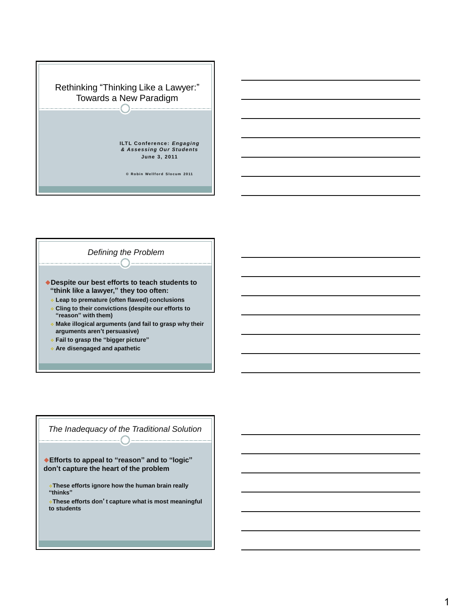



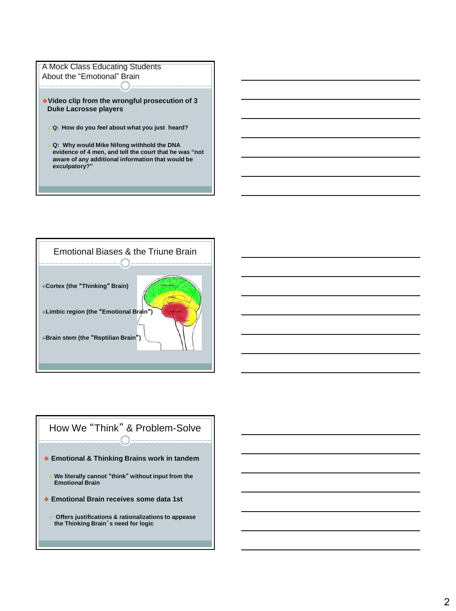



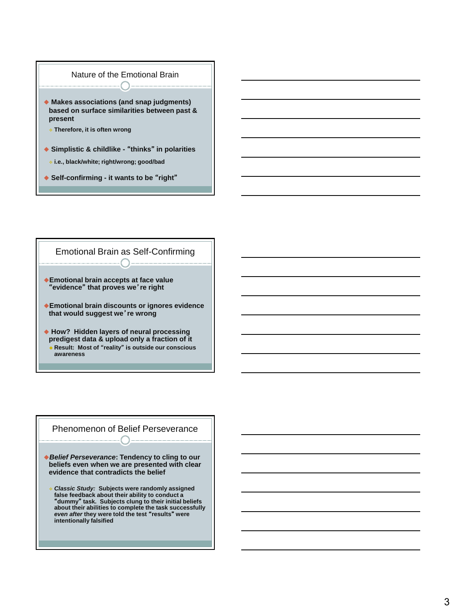

- **i.e., black/white; right/wrong; good/bad**
- **Self-confirming - it wants to be** "**right**"



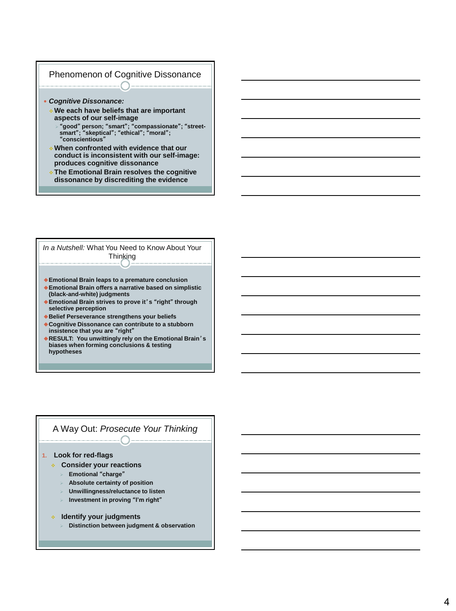## Phenomenon of Cognitive Dissonance

- *Cognitive Dissonance:* 
	- **We each have beliefs that are important aspects of our self-image**
		- "**good**" **person;** "**smart**"**;** "**compassionate**"**;** "**street-smart**"**;** "**skeptical**"**;** "**ethical**"**;** "**moral**"**;**  "**conscientious**"
	- **When confronted with evidence that our conduct is inconsistent with our self-image: produces cognitive dissonance**
	- **The Emotional Brain resolves the cognitive dissonance by discrediting the evidence**

*In a Nutshell:* What You Need to Know About Your **Thinking** 

- **Emotional Brain leaps to a premature conclusion**
- **Emotional Brain offers a narrative based on simplistic (black-and-white) judgments**
- **Emotional Brain strives to prove it**'**s** "**right**" **through selective perception**
- **Belief Perseverance strengthens your beliefs**
- **Cognitive Dissonance can contribute to a stubborn insistence that you are** "**right**"
- **RESULT: You unwittingly rely on the Emotional Brain**'**s biases when forming conclusions & testing hypotheses**

## A Way Out: *Prosecute Your Thinking*

## **1. Look for red-flags**

- **Consider your reactions**
	- **Emotional** "**charge**"
	- **Absolute certainty of position**
	- **Unwillingness/reluctance to listen**
	- **Investment in proving** "**I'm right**"
- **Identify your judgments**
	- **Distinction between judgment & observation**